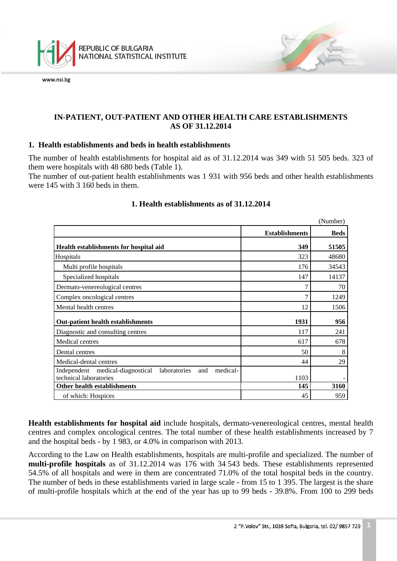

## **IN-PATIENT, OUT-PATIENT AND OTHER HEALTH CARE ESTABLISHMENTS AS OF 31.12.2014**

### **1. Health establishments and beds in health establishments**

The number of health establishments for hospital aid as of 31.12.2014 was 349 with 51 505 beds. 323 of them were hospitals with 48 680 beds (Table 1).

The number of out-patient health establishments was 1 931 with 956 beds and other health establishments were 145 with 3 160 beds in them.

|                                                                                               |                       | (Number)    |
|-----------------------------------------------------------------------------------------------|-----------------------|-------------|
|                                                                                               | <b>Establishments</b> | <b>Beds</b> |
| Health establishments for hospital aid                                                        | 349                   | 51505       |
| Hospitals                                                                                     | 323                   | 48680       |
| Multi profile hospitals                                                                       | 176                   | 34543       |
| Specialized hospitals                                                                         | 147                   | 14137       |
| Dermato-venereological centres                                                                | 7                     | 70          |
| Complex oncological centres                                                                   | 7                     | 1249        |
| Mental health centres                                                                         | 12                    | 1506        |
| <b>Out-patient health establishments</b>                                                      | 1931                  | 956         |
| Diagnostic and consulting centres                                                             | 117                   | 241         |
| Medical centres                                                                               | 617                   | 678         |
| Dental centres                                                                                | 50                    | 8           |
| Medical-dental centres                                                                        | 44                    | 29          |
| medical-<br>Independent medical-diagnostical<br>laboratories<br>and<br>technical laboratories | 1103                  |             |
| <b>Other health establishments</b>                                                            | 145                   | 3160        |
| of which: Hospices                                                                            | 45                    | 959         |

## **1. Health establishments as of 31.12.2014**

**Health establishments for hospital aid** include hospitals, dermato-venereological centres, mental health centres and complex oncological centres. The total number of these health establishments increased by 7 and the hospital beds - by 1 983, or 4.0% in comparison with 2013.

<span id="page-0-0"></span>According to the Law on Health establishments, hospitals are multi-profile and specialized. The number of **multi-profile hospitals** as of 31.12.2014 was 176 with 34 543 beds. These establishments represented 54.5% of all hospitals and were in them are concentrated 71.0% of the total hospital beds in the country. The number of beds in these establishments varied in large scale - from 15 to 1 395. The largest is the share of multi-profile hospitals which at the end of the year has up to 99 beds - 39.8%. From 100 to 299 beds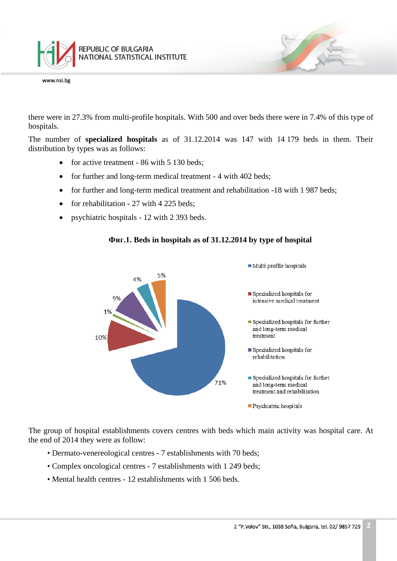

there were in 27.3% from multi-profile hospitals. With 500 and over beds there were in 7.4% of this type of hospitals.

The number of **specialized hospitals** as of 31.12.2014 was 147 with 14 179 beds in them. Their distribution by types was as follows:

- for active treatment 86 with 5 130 beds:
- for further and long-term medical treatment 4 with 402 beds;
- for further and long-term medical treatment and rehabilitation -18 with 1 987 beds;
- for rehabilitation 27 with 4 225 beds;
- psychiatric hospitals 12 with 2 393 beds.



#### **Фиг.1. Beds in hospitals as of 31.12.2014 by type of hospital**

The group of hospital establishments covers centres with beds which main activity was hospital care. At the end of 2014 they were as follow:

- Dermato-venereological centres 7 establishments with 70 beds;
- Complex oncological centres 7 establishments with 1 249 beds;
- Mental health centres 12 establishments with 1 506 beds.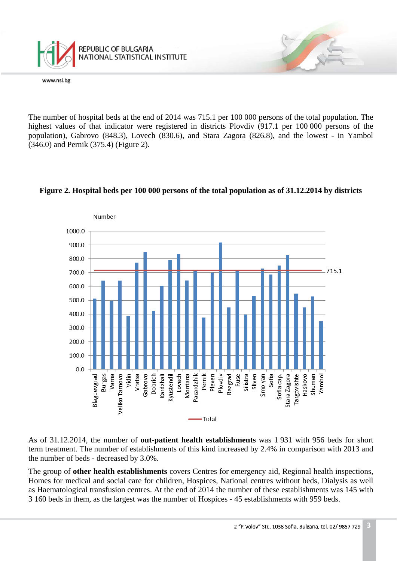

The number of hospital beds at the end of 2014 was 715.1 per 100 000 persons of the total population. The highest values of that indicator were registered in districts Plovdiv (917.1 per 100 000 persons of the population), Gabrovo (848.3), Lovech (830.6), and Stara Zagora (826.8), and the lowest - in Yambol (346.0) and Pernik (375.4) (Figure 2).



### **Figure 2. Hospital beds per 100 000 persons of the total population as of 31.12.2014 by districts**

As of 31.12.2014, the number of **out-patient health establishments** was 1 931 with 956 beds for short term treatment. The number of establishments of this kind increased by 2.4% in comparison with 2013 and the number of beds - decreased by 3.0%.

The group of **other health establishments** covers Centres for emergency aid, Regional health inspections, Homes for medical and social care for children, Hospices, National centres without beds, Dialysis as well as Haematological transfusion centres. At the end of 2014 the number of these establishments was 145 with 3 160 beds in them, as the largest was the number of Hospices - 45 establishments with 959 beds.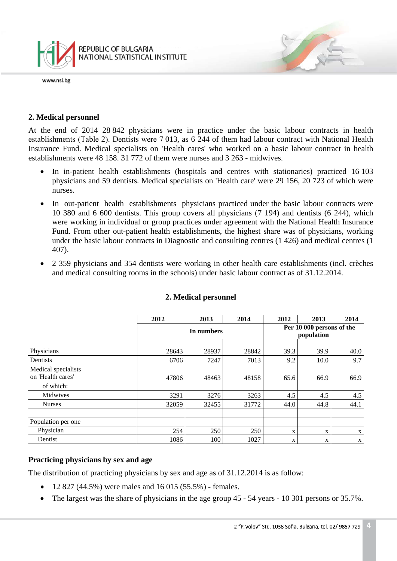

### **2. Medical personnel**

At the end of 2014 28 842 physicians were in practice under the basic labour contracts in health establishments (Таble 2). Dentists were 7 013, as 6 244 of them had labour contract with National Health Insurance Fund. Medical specialists on 'Health cares' who worked on a basic labour contract in health establishments were 48 158. 31 772 of them were nurses and 3 263 - midwives.

- In in-patient health establishments (hospitals and centres with stationaries) practiced 16 103 physicians and 59 dentists. Medical specialists on 'Health care' were 29 156, 20 723 of which were nurses.
- In out-patient health establishments physicians practiced under the basic labour contracts were 10 380 and 6 600 dentists. This group covers all physicians (7 194) and dentists (6 244), which were working in individual or group practices under agreement with the National Health Insurance Fund. From other out-patient health establishments, the highest share was of physicians, working under the basic labour contracts in Diagnostic and consulting centres (1 426) and medical centres (1 407).
- 2 359 physicians and 354 dentists were working in other health care establishments (incl. crèches and medical consulting rooms in the schools) under basic labour contract as of 31.12.2014.

|                                          | 2012       | 2013  | 2014  | 2012                                    | 2013 | 2014        |
|------------------------------------------|------------|-------|-------|-----------------------------------------|------|-------------|
|                                          | In numbers |       |       | Per 10 000 persons of the<br>population |      |             |
| Physicians                               | 28643      | 28937 | 28842 | 39.3                                    | 39.9 | 40.0        |
| Dentists                                 | 6706       | 7247  | 7013  | 9.2                                     | 10.0 | 9.7         |
| Medical specialists<br>on 'Health cares' | 47806      | 48463 | 48158 | 65.6                                    | 66.9 | 66.9        |
| of which:                                |            |       |       |                                         |      |             |
| Midwives                                 | 3291       | 3276  | 3263  | 4.5                                     | 4.5  | 4.5         |
| <b>Nurses</b>                            | 32059      | 32455 | 31772 | 44.0                                    | 44.8 | 44.1        |
|                                          |            |       |       |                                         |      |             |
| Population per one                       |            |       |       |                                         |      |             |
| Physician                                | 254        | 250   | 250   | X                                       | X    | $\mathbf X$ |
| Dentist                                  | 1086       | 100   | 1027  | X                                       | X    | $\mathbf X$ |

#### **2. Medical personnel**

#### **Practicing physicians by sex and age**

The distribution of practicing physicians by sex and age as of 31.12.2014 is as follow:

- 12 827 (44.5%) were males and 16 015 (55.5%) females.
- The largest was the share of physicians in the age group 45 54 years 10 301 persons or 35.7%.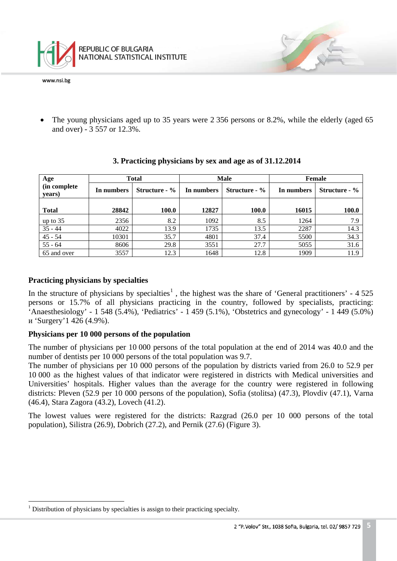

The young physicians aged up to 35 years were 2 356 persons or 8.2%, while the elderly (aged 65 and over) - 3 557 or 12.3%.

| Age                     | <b>Total</b> |                      | <b>Male</b> |                      | Female     |               |
|-------------------------|--------------|----------------------|-------------|----------------------|------------|---------------|
| (in complete)<br>years) | In numbers   | <b>Structure - %</b> | In numbers  | <b>Structure - %</b> | In numbers | Structure - % |
| <b>Total</b>            | 28842        | 100.0                | 12827       | 100.0                | 16015      | 100.0         |
| up to 35                | 2356         | 8.2                  | 1092        | 8.5                  | 1264       | 7.9           |
| $35 - 44$               | 4022         | 13.9                 | 1735        | 13.5                 | 2287       | 14.3          |
| $45 - 54$               | 10301        | 35.7                 | 4801        | 37.4                 | 5500       | 34.3          |
| $55 - 64$               | 8606         | 29.8                 | 3551        | 27.7                 | 5055       | 31.6          |
| 65 and over             | 3557         | 12.3                 | 1648        | 12.8                 | 1909       | 11.9          |

#### **3. Practicing physicians by sex and age as of 31.12.2014**

### **Practicing physicians by specialties**

In the structure of physicians by specialties<sup>[1](#page-0-0)</sup>, the highest was the share of 'General practitioners' -  $4\,525$ persons or 15.7% of all physicians practicing in the country, followed by specialists, practicing: 'Anaesthesiology' - 1 548 (5.4%), 'Pediatrics' - 1 459 (5.1%), 'Obstetrics and gynecology' - 1 449 (5.0%) и 'Surgery'1 426 (4.9%).

## **Physicians per 10 000 persons of the population**

The number of physicians per 10 000 persons of the total population at the end of 2014 was 40.0 and the number of dentists per 10 000 persons of the total population was 9.7.

The number of physicians per 10 000 persons of the population by districts varied from 26.0 to 52.9 per 10 000 as the highest values of that indicator were registered in districts with Medical universities and Universities' hospitals. Higher values than the average for the country were registered in following districts: Pleven (52.9 per 10 000 persons of the population), Sofia (stolitsa) (47.3), Plovdiv (47.1), Varna (46.4), Stara Zagora (43.2), Lovech (41.2).

The lowest values were registered for the districts: Razgrad (26.0 per 10 000 persons of the total population), Silistra (26.9), Dobrich (27.2), and Pernik (27.6) (Figure 3).

 $\frac{1}{\sqrt{2}}$  $<sup>1</sup>$  Distribution of physicians by specialties is assign to their practicing specialty.</sup>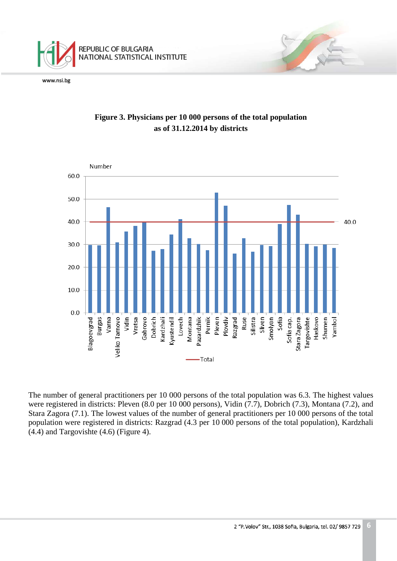



# **Figure 3. Physicians per 10 000 persons of the total population as of 31.12.2014 by districts**

The number of general practitioners per 10 000 persons of the total population was 6.3. The highest values were registered in districts: Pleven (8.0 per 10 000 persons), Vidin (7.7), Dobrich (7.3), Montana (7.2), and Stara Zagora (7.1). The lowest values of the number of general practitioners per 10 000 persons of the total population were registered in districts: Razgrad (4.3 per 10 000 persons of the total population), Kardzhali (4.4) and Targovishte (4.6) (Figure 4).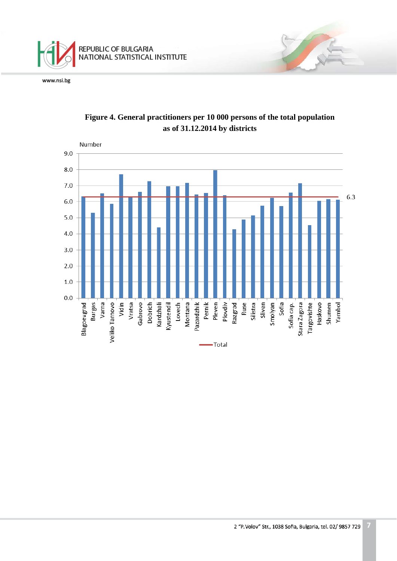



# **Figure 4. General practitioners per 10 000 persons of the total population as of 31.12.2014 by districts**